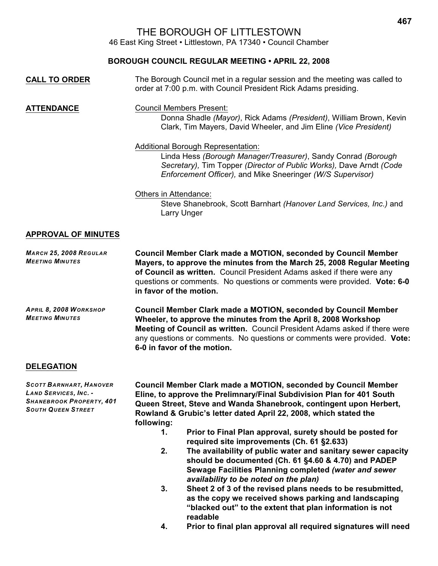# THE BOROUGH OF LITTLESTOWN

46 East King Street • Littlestown, PA 17340 • Council Chamber

### **BOROUGH COUNCIL REGULAR MEETING • APRIL 22, 2008**

| <b>CALL TO ORDER</b> | The Borough Council met in a regular session and the meeting was called to<br>order at 7:00 p.m. with Council President Rick Adams presiding. |
|----------------------|-----------------------------------------------------------------------------------------------------------------------------------------------|
|                      |                                                                                                                                               |

**ATTENDANCE** Council Members Present: Donna Shadle *(Mayor)*, Rick Adams *(President)*, William Brown, Kevin Clark, Tim Mayers, David Wheeler, and Jim Eline *(Vice President)*

#### Additional Borough Representation:

Linda Hess *(Borough Manager/Treasurer)*, Sandy Conrad *(Borough Secretary),* Tim Topper *(Director of Public Works),* Dave Arndt *(Code Enforcement Officer),* and Mike Sneeringer *(W/S Supervisor)*

#### Others in Attendance:

Steve Shanebrook, Scott Barnhart *(Hanover Land Services, Inc.)* and Larry Unger

### **APPROVAL OF MINUTES**

*MARCH 25, 2008 REGULAR MEETING MINUTES* **Council Member Clark made a MOTION, seconded by Council Member Mayers, to approve the minutes from the March 25, 2008 Regular Meeting of Council as written.** Council President Adams asked if there were any questions or comments. No questions or comments were provided. **Vote: 6-0 in favor of the motion.** *APRIL 8, 2008 WORKSHOP*  **Council Member Clark made a MOTION, seconded by Council Member**

*MEETING MINUTES* **Wheeler, to approve the minutes from the April 8, 2008 Workshop Meeting of Council as written.** Council President Adams asked if there were any questions or comments. No questions or comments were provided. **Vote: 6-0 in favor of the motion.**

### **DELEGATION**

*SCOTT BARNHART, HANOVER LAND SERVICES, INC. - SHANEBROOK PROPERTY, 401 SOUTH QUEEN STREET*

**Council Member Clark made a MOTION, seconded by Council Member Eline, to approve the Prelimnary/Final Subdivision Plan for 401 South Queen Street, Steve and Wanda Shanebrook, contingent upon Herbert, Rowland & Grubic's letter dated April 22, 2008, which stated the following:**

- **1. Prior to Final Plan approval, surety should be posted for required site improvements (Ch. 61 §2.633)**
- **2. The availability of public water and sanitary sewer capacity should be documented (Ch. 61 §4.60 & 4.70) and PADEP Sewage Facilities Planning completed** *(water and sewer availability to be noted on the plan)*
- **3. Sheet 2 of 3 of the revised plans needs to be resubmitted, as the copy we received shows parking and landscaping "blacked out" to the extent that plan information is not readable**
- **4. Prior to final plan approval all required signatures will need**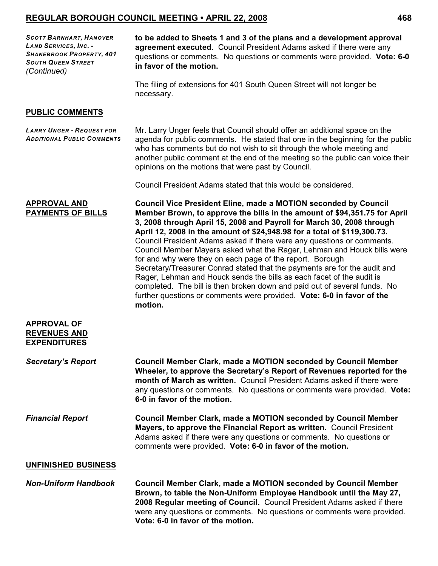*SCOTT BARNHART, HANOVER LAND SERVICES, INC. - SHANEBROOK PROPERTY, 401 SOUTH QUEEN STREET (Continued)*

**to be added to Sheets 1 and 3 of the plans and a development approval agreement executed**. Council President Adams asked if there were any questions or comments. No questions or comments were provided. **Vote: 6-0 in favor of the motion.**

The filing of extensions for 401 South Queen Street will not longer be necessary.

#### **PUBLIC COMMENTS**

**APPROVAL OF**

*LARRY UNGER - REQUEST FOR ADDITIONAL PUBLIC COMMENTS*

Mr. Larry Unger feels that Council should offer an additional space on the agenda for public comments. He stated that one in the beginning for the public who has comments but do not wish to sit through the whole meeting and another public comment at the end of the meeting so the public can voice their opinions on the motions that were past by Council.

Council President Adams stated that this would be considered.

**APPROVAL AND PAYMENTS OF BILLS Council Vice President Eline, made a MOTION seconded by Council Member Brown, to approve the bills in the amount of \$94,351.75 for April 3, 2008 through April 15, 2008 and Payroll for March 30, 2008 through April 12, 2008 in the amount of \$24,948.98 for a total of \$119,300.73.**  Council President Adams asked if there were any questions or comments. Council Member Mayers asked what the Rager, Lehman and Houck bills were for and why were they on each page of the report. Borough Secretary/Treasurer Conrad stated that the payments are for the audit and Rager, Lehman and Houck sends the bills as each facet of the audit is completed. The bill is then broken down and paid out of several funds. No further questions or comments were provided. **Vote: 6-0 in favor of the motion.**

| APPROVAL OF<br><b>REVENUES AND</b><br><b>EXPENDITURES</b> |                                                                                                                                                                                                                                                                                                                                       |
|-----------------------------------------------------------|---------------------------------------------------------------------------------------------------------------------------------------------------------------------------------------------------------------------------------------------------------------------------------------------------------------------------------------|
| <b>Secretary's Report</b>                                 | <b>Council Member Clark, made a MOTION seconded by Council Member</b><br>Wheeler, to approve the Secretary's Report of Revenues reported for the<br>month of March as written. Council President Adams asked if there were<br>any questions or comments. No questions or comments were provided. Vote:<br>6-0 in favor of the motion. |
| <b>Financial Report</b>                                   | <b>Council Member Clark, made a MOTION seconded by Council Member</b><br><b>Mayers, to approve the Financial Report as written.</b> Council President<br>Adams asked if there were any questions or comments. No questions or<br>comments were provided. Vote: 6-0 in favor of the motion.                                            |
| <b>UNFINISHED BUSINESS</b>                                |                                                                                                                                                                                                                                                                                                                                       |
| <b>Non-Uniform Handbook</b>                               | <b>Council Member Clark, made a MOTION seconded by Council Member</b><br>Brown, to table the Non-Uniform Employee Handbook until the May 27,<br>2008 Requilar meeting of Council. Council President Adams asked if there                                                                                                              |

**2008 Regular meeting of Council.** Council President Adams asked if there were any questions or comments. No questions or comments were provided. **Vote: 6-0 in favor of the motion.**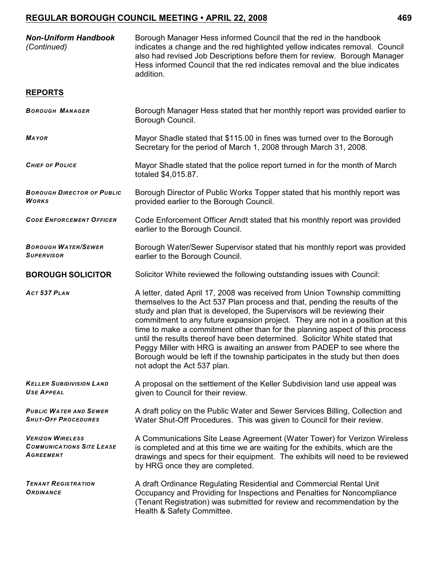| <b>Non-Uniform Handbook</b><br>(Continued)                               | Borough Manager Hess informed Council that the red in the handbook<br>indicates a change and the red highlighted yellow indicates removal. Council<br>also had revised Job Descriptions before them for review. Borough Manager<br>Hess informed Council that the red indicates removal and the blue indicates<br>addition.                                                                                                                                                                                                                                                                                                                                                        |
|--------------------------------------------------------------------------|------------------------------------------------------------------------------------------------------------------------------------------------------------------------------------------------------------------------------------------------------------------------------------------------------------------------------------------------------------------------------------------------------------------------------------------------------------------------------------------------------------------------------------------------------------------------------------------------------------------------------------------------------------------------------------|
| <b>REPORTS</b>                                                           |                                                                                                                                                                                                                                                                                                                                                                                                                                                                                                                                                                                                                                                                                    |
| <b>BOROUGH MANAGER</b>                                                   | Borough Manager Hess stated that her monthly report was provided earlier to<br>Borough Council.                                                                                                                                                                                                                                                                                                                                                                                                                                                                                                                                                                                    |
| <b>MAYOR</b>                                                             | Mayor Shadle stated that \$115.00 in fines was turned over to the Borough<br>Secretary for the period of March 1, 2008 through March 31, 2008.                                                                                                                                                                                                                                                                                                                                                                                                                                                                                                                                     |
| <b>CHIEF OF POLICE</b>                                                   | Mayor Shadle stated that the police report turned in for the month of March<br>totaled \$4,015.87.                                                                                                                                                                                                                                                                                                                                                                                                                                                                                                                                                                                 |
| <b>BOROUGH DIRECTOR OF PUBLIC</b><br>Works                               | Borough Director of Public Works Topper stated that his monthly report was<br>provided earlier to the Borough Council.                                                                                                                                                                                                                                                                                                                                                                                                                                                                                                                                                             |
| <b>CODE ENFORCEMENT OFFICER</b>                                          | Code Enforcement Officer Arndt stated that his monthly report was provided<br>earlier to the Borough Council.                                                                                                                                                                                                                                                                                                                                                                                                                                                                                                                                                                      |
| <b>BOROUGH WATER/SEWER</b><br><b>SUPERVISOR</b>                          | Borough Water/Sewer Supervisor stated that his monthly report was provided<br>earlier to the Borough Council.                                                                                                                                                                                                                                                                                                                                                                                                                                                                                                                                                                      |
| <b>BOROUGH SOLICITOR</b>                                                 | Solicitor White reviewed the following outstanding issues with Council:                                                                                                                                                                                                                                                                                                                                                                                                                                                                                                                                                                                                            |
| ACT 537 PLAN                                                             | A letter, dated April 17, 2008 was received from Union Township committing<br>themselves to the Act 537 Plan process and that, pending the results of the<br>study and plan that is developed, the Supervisors will be reviewing their<br>commitment to any future expansion project. They are not in a position at this<br>time to make a commitment other than for the planning aspect of this process<br>until the results thereof have been determined. Solicitor White stated that<br>Peggy Miller with HRG is awaiting an answer from PADEP to see where the<br>Borough would be left if the township participates in the study but then does<br>not adopt the Act 537 plan. |
| <b>KELLER SUBIDIVISION LAND</b><br><b>USE APPEAL</b>                     | A proposal on the settlement of the Keller Subdivision land use appeal was<br>given to Council for their review.                                                                                                                                                                                                                                                                                                                                                                                                                                                                                                                                                                   |
| <b>PUBLIC WATER AND SEWER</b><br><b>SHUT-OFF PROCEDURES</b>              | A draft policy on the Public Water and Sewer Services Billing, Collection and<br>Water Shut-Off Procedures. This was given to Council for their review.                                                                                                                                                                                                                                                                                                                                                                                                                                                                                                                            |
| <b>VERIZON WIRELESS</b><br><b>COMMUNICATIONS SITE LEASE</b><br>AGREEMENT | A Communications Site Lease Agreement (Water Tower) for Verizon Wireless<br>is completed and at this time we are waiting for the exhibits, which are the<br>drawings and specs for their equipment. The exhibits will need to be reviewed<br>by HRG once they are completed.                                                                                                                                                                                                                                                                                                                                                                                                       |
| <b>TENANT REGISTRATION</b><br>ORDINANCE                                  | A draft Ordinance Regulating Residential and Commercial Rental Unit<br>Occupancy and Providing for Inspections and Penalties for Noncompliance<br>(Tenant Registration) was submitted for review and recommendation by the<br>Health & Safety Committee.                                                                                                                                                                                                                                                                                                                                                                                                                           |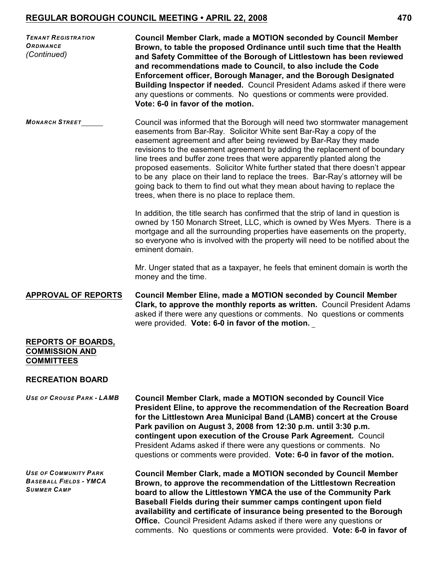| <b>TENANT REGISTRATION</b><br><b>ORDINANCE</b><br>(Continued)           | <b>Council Member Clark, made a MOTION seconded by Council Member</b><br>Brown, to table the proposed Ordinance until such time that the Health<br>and Safety Committee of the Borough of Littlestown has been reviewed<br>and recommendations made to Council, to also include the Code<br>Enforcement officer, Borough Manager, and the Borough Designated<br>Building Inspector if needed. Council President Adams asked if there were<br>any questions or comments. No questions or comments were provided.<br>Vote: 6-0 in favor of the motion.                                                                                                                         |
|-------------------------------------------------------------------------|------------------------------------------------------------------------------------------------------------------------------------------------------------------------------------------------------------------------------------------------------------------------------------------------------------------------------------------------------------------------------------------------------------------------------------------------------------------------------------------------------------------------------------------------------------------------------------------------------------------------------------------------------------------------------|
| <b>MONARCH STREET</b>                                                   | Council was informed that the Borough will need two stormwater management<br>easements from Bar-Ray. Solicitor White sent Bar-Ray a copy of the<br>easement agreement and after being reviewed by Bar-Ray they made<br>revisions to the easement agreement by adding the replacement of boundary<br>line trees and buffer zone trees that were apparently planted along the<br>proposed easements. Solicitor White further stated that there doesn't appear<br>to be any place on their land to replace the trees. Bar-Ray's attorney will be<br>going back to them to find out what they mean about having to replace the<br>trees, when there is no place to replace them. |
|                                                                         | In addition, the title search has confirmed that the strip of land in question is<br>owned by 150 Monarch Street, LLC, which is owned by Wes Myers. There is a<br>mortgage and all the surrounding properties have easements on the property,<br>so everyone who is involved with the property will need to be notified about the<br>eminent domain.                                                                                                                                                                                                                                                                                                                         |
|                                                                         | Mr. Unger stated that as a taxpayer, he feels that eminent domain is worth the<br>money and the time.                                                                                                                                                                                                                                                                                                                                                                                                                                                                                                                                                                        |
| <b>APPROVAL OF REPORTS</b>                                              | <b>Council Member Eline, made a MOTION seconded by Council Member</b><br>Clark, to approve the monthly reports as written. Council President Adams<br>asked if there were any questions or comments. No questions or comments<br>were provided. Vote: 6-0 in favor of the motion.                                                                                                                                                                                                                                                                                                                                                                                            |
| <b>REPORTS OF BOARDS,</b><br><b>COMMISSION AND</b><br><b>COMMITTEES</b> |                                                                                                                                                                                                                                                                                                                                                                                                                                                                                                                                                                                                                                                                              |

### **RECREATION BOARD**

*USE OF CROUSE PARK - LAMB* **Council Member Clark, made a MOTION seconded by Council Vice President Eline, to approve the recommendation of the Recreation Board for the Littlestown Area Municipal Band (LAMB) concert at the Crouse Park pavilion on August 3, 2008 from 12:30 p.m. until 3:30 p.m. contingent upon execution of the Crouse Park Agreement.** Council President Adams asked if there were any questions or comments. No questions or comments were provided. **Vote: 6-0 in favor of the motion.**

*USE OF COMMUNITY PARK BASEBALL FIELDS - YMCA SUMMER CAMP* **Council Member Clark, made a MOTION seconded by Council Member Brown, to approve the recommendation of the Littlestown Recreation board to allow the Littlestown YMCA the use of the Community Park Baseball Fields during their summer camps contingent upon field availability and certificate of insurance being presented to the Borough Office.** Council President Adams asked if there were any questions or comments. No questions or comments were provided. **Vote: 6-0 in favor of**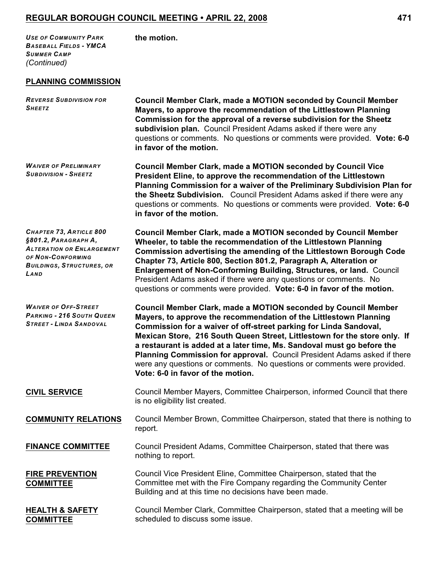*USE OF COMMUNITY PARK BASEBALL FIELDS - YMCA SUMMER CAMP (Continued)*

**the motion.**

### **PLANNING COMMISSION**

| <b>REVERSE SUBDIVISION FOR</b><br><b>SHEETZ</b>                                                                                                      | Council Member Clark, made a MOTION seconded by Council Member<br>Mayers, to approve the recommendation of the Littlestown Planning<br>Commission for the approval of a reverse subdivision for the Sheetz<br>subdivision plan. Council President Adams asked if there were any<br>questions or comments. No questions or comments were provided. Vote: 6-0<br>in favor of the motion.                                                                                                                                                                             |
|------------------------------------------------------------------------------------------------------------------------------------------------------|--------------------------------------------------------------------------------------------------------------------------------------------------------------------------------------------------------------------------------------------------------------------------------------------------------------------------------------------------------------------------------------------------------------------------------------------------------------------------------------------------------------------------------------------------------------------|
| <b>WAIVER OF PRELIMINARY</b><br><b>SUBDIVISION - SHEETZ</b>                                                                                          | <b>Council Member Clark, made a MOTION seconded by Council Vice</b><br>President Eline, to approve the recommendation of the Littlestown<br>Planning Commission for a waiver of the Preliminary Subdivision Plan for<br>the Sheetz Subdivision. Council President Adams asked if there were any<br>questions or comments. No questions or comments were provided. Vote: 6-0<br>in favor of the motion.                                                                                                                                                             |
| CHAPTER 73, ARTICLE 800<br>§801.2, PARAGRAPH A,<br><b>ALTERATION OR ENLARGEMENT</b><br>OF NON-CONFORMING<br><b>BUILDINGS, STRUCTURES, OR</b><br>LAND | <b>Council Member Clark, made a MOTION seconded by Council Member</b><br>Wheeler, to table the recommendation of the Littlestown Planning<br>Commission advertising the amending of the Littlestown Borough Code<br>Chapter 73, Article 800, Section 801.2, Paragraph A, Alteration or<br>Enlargement of Non-Conforming Building, Structures, or land. Council<br>President Adams asked if there were any questions or comments. No<br>questions or comments were provided. Vote: 6-0 in favor of the motion.                                                      |
| <b>WAIVER OF OFF-STREET</b><br><b>PARKING - 216 SOUTH QUEEN</b><br><b>STREET - LINDA SANDOVAL</b>                                                    | <b>Council Member Clark, made a MOTION seconded by Council Member</b><br>Mayers, to approve the recommendation of the Littlestown Planning<br>Commission for a waiver of off-street parking for Linda Sandoval,<br>Mexican Store, 216 South Queen Street, Littlestown for the store only. If<br>a restaurant is added at a later time, Ms. Sandoval must go before the<br>Planning Commission for approval. Council President Adams asked if there<br>were any questions or comments. No questions or comments were provided.<br>Vote: 6-0 in favor of the motion. |
| <b>CIVIL SERVICE</b>                                                                                                                                 | Council Member Mayers, Committee Chairperson, informed Council that there<br>is no eligibility list created.                                                                                                                                                                                                                                                                                                                                                                                                                                                       |
| <b>COMMUNITY RELATIONS</b>                                                                                                                           | Council Member Brown, Committee Chairperson, stated that there is nothing to<br>report.                                                                                                                                                                                                                                                                                                                                                                                                                                                                            |
| <b>FINANCE COMMITTEE</b>                                                                                                                             | Council President Adams, Committee Chairperson, stated that there was<br>nothing to report.                                                                                                                                                                                                                                                                                                                                                                                                                                                                        |
| <b>FIRE PREVENTION</b><br><b>COMMITTEE</b>                                                                                                           | Council Vice President Eline, Committee Chairperson, stated that the<br>Committee met with the Fire Company regarding the Community Center<br>Building and at this time no decisions have been made.                                                                                                                                                                                                                                                                                                                                                               |
| <b>HEALTH &amp; SAFETY</b><br><b>COMMITTEE</b>                                                                                                       | Council Member Clark, Committee Chairperson, stated that a meeting will be<br>scheduled to discuss some issue.                                                                                                                                                                                                                                                                                                                                                                                                                                                     |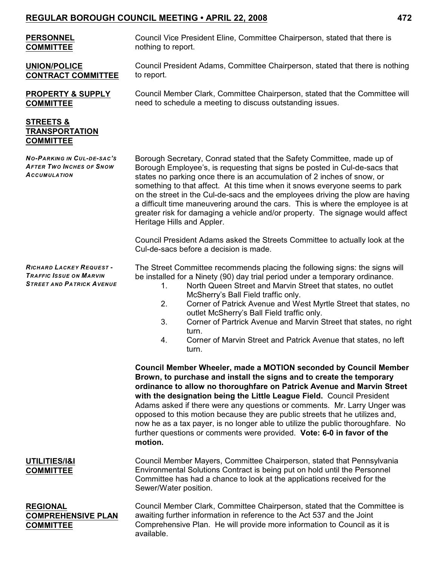| <b>PERSONNEL</b><br><b>COMMITTEE</b>                                                           | Council Vice President Eline, Committee Chairperson, stated that there is<br>nothing to report.                                                                                                                                                                                                                                                                                                                                                                                                                                                                                                                                        |
|------------------------------------------------------------------------------------------------|----------------------------------------------------------------------------------------------------------------------------------------------------------------------------------------------------------------------------------------------------------------------------------------------------------------------------------------------------------------------------------------------------------------------------------------------------------------------------------------------------------------------------------------------------------------------------------------------------------------------------------------|
| <b>UNION/POLICE</b><br><b>CONTRACT COMMITTEE</b>                                               | Council President Adams, Committee Chairperson, stated that there is nothing<br>to report.                                                                                                                                                                                                                                                                                                                                                                                                                                                                                                                                             |
| <b>PROPERTY &amp; SUPPLY</b><br><b>COMMITTEE</b>                                               | Council Member Clark, Committee Chairperson, stated that the Committee will<br>need to schedule a meeting to discuss outstanding issues.                                                                                                                                                                                                                                                                                                                                                                                                                                                                                               |
| <b>STREETS &amp;</b><br><b>TRANSPORTATION</b><br><b>COMMITTEE</b>                              |                                                                                                                                                                                                                                                                                                                                                                                                                                                                                                                                                                                                                                        |
| <b>NO-PARKING IN CUL-DE-SAC'S</b><br><b>AFTER TWO INCHES OF SNOW</b><br><b>ACCUMULATION</b>    | Borough Secretary, Conrad stated that the Safety Committee, made up of<br>Borough Employee's, is requesting that signs be posted in Cul-de-sacs that<br>states no parking once there is an accumulation of 2 inches of snow, or<br>something to that affect. At this time when it snows everyone seems to park<br>on the street in the Cul-de-sacs and the employees driving the plow are having<br>a difficult time maneuvering around the cars. This is where the employee is at<br>greater risk for damaging a vehicle and/or property. The signage would affect<br>Heritage Hills and Appler.                                      |
|                                                                                                | Council President Adams asked the Streets Committee to actually look at the<br>Cul-de-sacs before a decision is made.                                                                                                                                                                                                                                                                                                                                                                                                                                                                                                                  |
| RICHARD LACKEY REQUEST -<br><b>TRAFFIC ISSUE ON MARVIN</b><br><b>STREET AND PATRICK AVENUE</b> | The Street Committee recommends placing the following signs: the signs will<br>be installed for a Ninety (90) day trial period under a temporary ordinance.<br>North Queen Street and Marvin Street that states, no outlet<br>1.<br>McSherry's Ball Field traffic only.<br>2.<br>Corner of Patrick Avenue and West Myrtle Street that states, no<br>outlet McSherry's Ball Field traffic only.<br>3.<br>Corner of Partrick Avenue and Marvin Street that states, no right<br>turn.<br>Corner of Marvin Street and Patrick Avenue that states, no left<br>4.<br>turn.                                                                   |
|                                                                                                | <b>Council Member Wheeler, made a MOTION seconded by Council Member</b><br>Brown, to purchase and install the signs and to create the temporary<br>ordinance to allow no thoroughfare on Patrick Avenue and Marvin Street<br>with the designation being the Little League Field. Council President<br>Adams asked if there were any questions or comments. Mr. Larry Unger was<br>opposed to this motion because they are public streets that he utilizes and,<br>now he as a tax payer, is no longer able to utilize the public thoroughfare. No<br>further questions or comments were provided. Vote: 6-0 in favor of the<br>motion. |
| UTILITIES/I&I<br><b>COMMITTEE</b>                                                              | Council Member Mayers, Committee Chairperson, stated that Pennsylvania<br>Environmental Solutions Contract is being put on hold until the Personnel<br>Committee has had a chance to look at the applications received for the<br>Sewer/Water position.                                                                                                                                                                                                                                                                                                                                                                                |
| <b>REGIONAL</b><br><b>COMPREHENSIVE PLAN</b><br><b>COMMITTEE</b>                               | Council Member Clark, Committee Chairperson, stated that the Committee is<br>awaiting further information in reference to the Act 537 and the Joint<br>Comprehensive Plan. He will provide more information to Council as it is<br>available.                                                                                                                                                                                                                                                                                                                                                                                          |